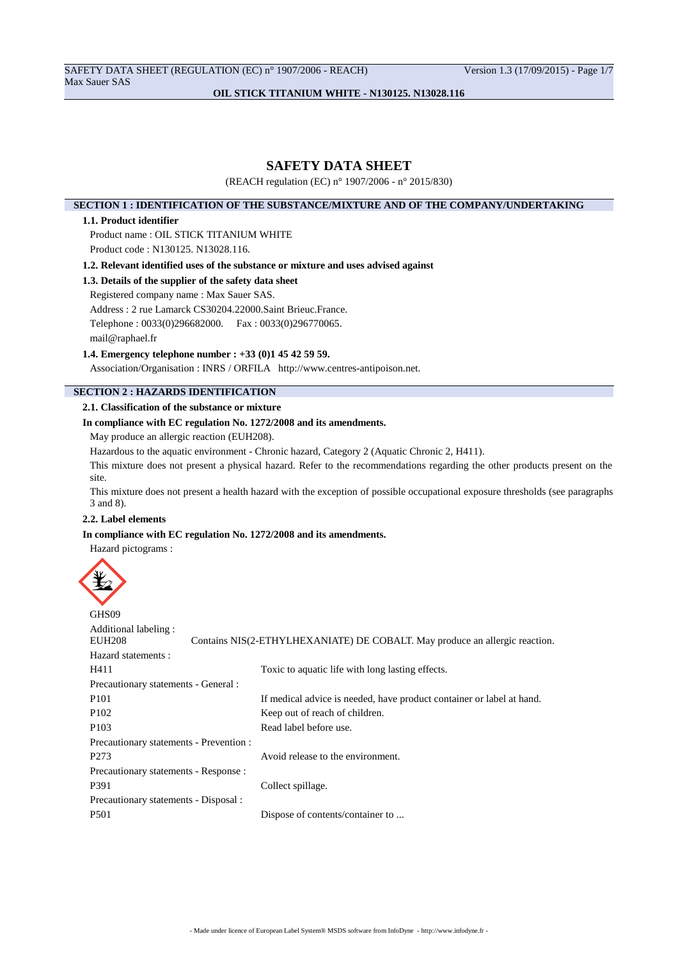SAFETY DATA SHEET (REGULATION (EC) n° 1907/2006 - REACH) Version 1.3 (17/09/2015) - Page 1/7 Max Sauer SAS

# **OIL STICK TITANIUM WHITE - N130125. N13028.116**

# **SAFETY DATA SHEET**

(REACH regulation (EC) n° 1907/2006 - n° 2015/830)

### **SECTION 1 : IDENTIFICATION OF THE SUBSTANCE/MIXTURE AND OF THE COMPANY/UNDERTAKING**

### **1.1. Product identifier**

Product name : OIL STICK TITANIUM WHITE

Product code : N130125. N13028.116.

**1.2. Relevant identified uses of the substance or mixture and uses advised against**

### **1.3. Details of the supplier of the safety data sheet**

Registered company name : Max Sauer SAS.

Address : 2 rue Lamarck CS30204.22000.Saint Brieuc.France.

Telephone : 0033(0)296682000. Fax : 0033(0)296770065.

mail@raphael.fr

### **1.4. Emergency telephone number : +33 (0)1 45 42 59 59.**

Association/Organisation : INRS / ORFILA http://www.centres-antipoison.net.

# **SECTION 2 : HAZARDS IDENTIFICATION**

# **2.1. Classification of the substance or mixture**

### **In compliance with EC regulation No. 1272/2008 and its amendments.**

May produce an allergic reaction (EUH208).

Hazardous to the aquatic environment - Chronic hazard, Category 2 (Aquatic Chronic 2, H411).

This mixture does not present a physical hazard. Refer to the recommendations regarding the other products present on the site.

This mixture does not present a health hazard with the exception of possible occupational exposure thresholds (see paragraphs 3 and 8).

# **2.2. Label elements**

### **In compliance with EC regulation No. 1272/2008 and its amendments.**

Hazard pictograms :



GHS<sub>09</sub> Additional labeling :<br>EUH208 Contains NIS(2-ETHYLHEXANIATE) DE COBALT. May produce an allergic reaction. Hazard statements : H411 Toxic to aquatic life with long lasting effects. Precautionary statements - General : P101 If medical advice is needed, have product container or label at hand. P102 Keep out of reach of children. P103 Read label before use. Precautionary statements - Prevention : P273 Avoid release to the environment. Precautionary statements - Response : P391 Collect spillage. Precautionary statements - Disposal : P501 Dispose of contents/container to ...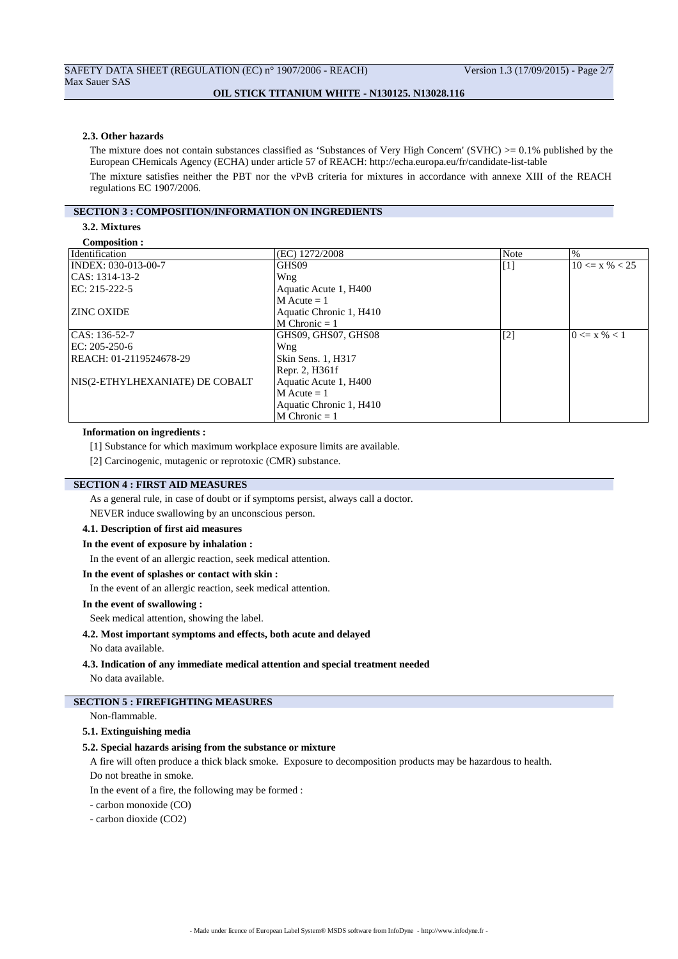#### **2.3. Other hazards**

The mixture does not contain substances classified as 'Substances of Very High Concern' (SVHC)  $>= 0.1\%$  published by the European CHemicals Agency (ECHA) under article 57 of REACH: http://echa.europa.eu/fr/candidate-list-table The mixture satisfies neither the PBT nor the vPvB criteria for mixtures in accordance with annexe XIII of the REACH regulations EC 1907/2006.

#### **SECTION 3 : COMPOSITION/INFORMATION ON INGREDIENTS**

# **3.2. Mixtures**

| Composition :                   |                         |                   |                    |
|---------------------------------|-------------------------|-------------------|--------------------|
| Identification                  | (EC) 1272/2008          | Note              | $\%$               |
| INDEX: 030-013-00-7             | GHS09                   | $\lceil 1 \rceil$ | $10 \le x \% < 25$ |
| CAS: 1314-13-2                  | Wng                     |                   |                    |
| EC: 215-222-5                   | Aquatic Acute 1, H400   |                   |                    |
|                                 | $M$ Acute = 1           |                   |                    |
| <b>ZINC OXIDE</b>               | Aquatic Chronic 1, H410 |                   |                    |
|                                 | $M$ Chronic = 1         |                   |                    |
| CAS: 136-52-7                   | GHS09, GHS07, GHS08     | $[2]$             | $0 \le x \% < 1$   |
| EC: 205-250-6                   | Wng                     |                   |                    |
| REACH: 01-2119524678-29         | Skin Sens. 1, H317      |                   |                    |
|                                 | Repr. 2, H361f          |                   |                    |
| NIS(2-ETHYLHEXANIATE) DE COBALT | Aquatic Acute 1, H400   |                   |                    |
|                                 | $M$ Acute = 1           |                   |                    |
|                                 | Aquatic Chronic 1, H410 |                   |                    |
|                                 | $M$ Chronic = 1         |                   |                    |

#### **Information on ingredients :**

[1] Substance for which maximum workplace exposure limits are available.

[2] Carcinogenic, mutagenic or reprotoxic (CMR) substance.

# **SECTION 4 : FIRST AID MEASURES**

As a general rule, in case of doubt or if symptoms persist, always call a doctor.

NEVER induce swallowing by an unconscious person.

# **4.1. Description of first aid measures**

**In the event of exposure by inhalation :**

In the event of an allergic reaction, seek medical attention.

#### **In the event of splashes or contact with skin :**

In the event of an allergic reaction, seek medical attention.

#### **In the event of swallowing :**

Seek medical attention, showing the label.

### **4.2. Most important symptoms and effects, both acute and delayed**

No data available.

# **4.3. Indication of any immediate medical attention and special treatment needed**

No data available.

# **SECTION 5 : FIREFIGHTING MEASURES**

Non-flammable.

### **5.1. Extinguishing media**

#### **5.2. Special hazards arising from the substance or mixture**

A fire will often produce a thick black smoke. Exposure to decomposition products may be hazardous to health.

Do not breathe in smoke.

In the event of a fire, the following may be formed :

- carbon monoxide (CO)
- carbon dioxide (CO2)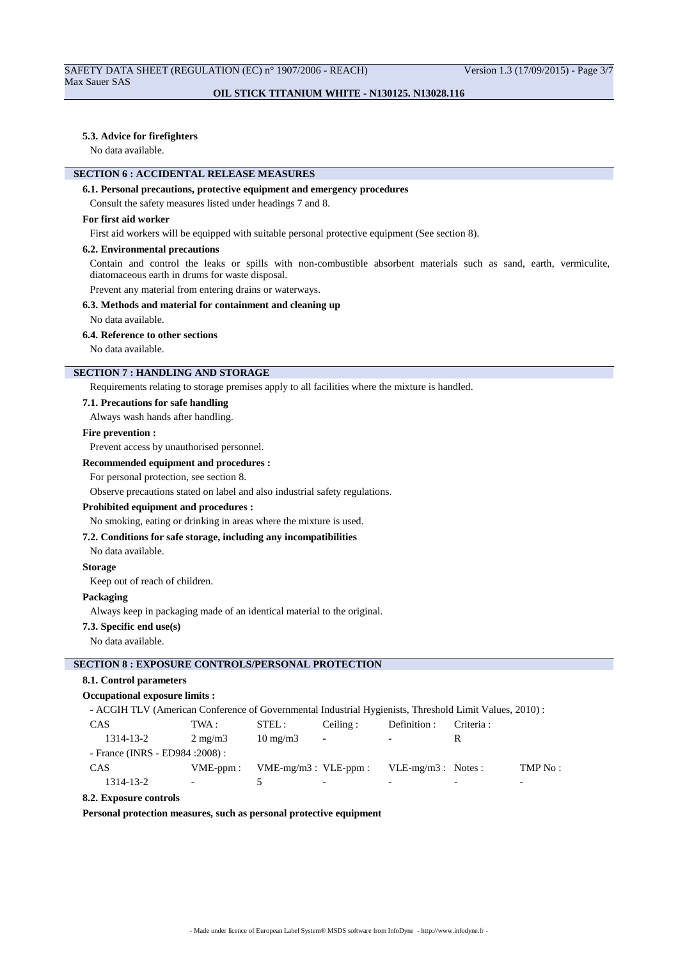#### **5.3. Advice for firefighters**

No data available.

# **SECTION 6 : ACCIDENTAL RELEASE MEASURES**

#### **6.1. Personal precautions, protective equipment and emergency procedures**

Consult the safety measures listed under headings 7 and 8.

### **For first aid worker**

First aid workers will be equipped with suitable personal protective equipment (See section 8).

#### **6.2. Environmental precautions**

Contain and control the leaks or spills with non-combustible absorbent materials such as sand, earth, vermiculite, diatomaceous earth in drums for waste disposal.

Prevent any material from entering drains or waterways.

### **6.3. Methods and material for containment and cleaning up**

No data available.

#### **6.4. Reference to other sections**

No data available.

# **SECTION 7 : HANDLING AND STORAGE**

Requirements relating to storage premises apply to all facilities where the mixture is handled.

# **7.1. Precautions for safe handling**

Always wash hands after handling.

# **Fire prevention :**

Prevent access by unauthorised personnel.

# **Recommended equipment and procedures :**

For personal protection, see section 8.

Observe precautions stated on label and also industrial safety regulations.

#### **Prohibited equipment and procedures :**

No smoking, eating or drinking in areas where the mixture is used.

### **7.2. Conditions for safe storage, including any incompatibilities**

No data available.

#### **Storage**

Keep out of reach of children.

#### **Packaging**

Always keep in packaging made of an identical material to the original.

#### **7.3. Specific end use(s)**

No data available.

# **SECTION 8 : EXPOSURE CONTROLS/PERSONAL PROTECTION**

# **8.1. Control parameters**

### **Occupational exposure limits :**

- ACGIH TLV (American Conference of Governmental Industrial Hygienists, Threshold Limit Values, 2010) :

| <b>CAS</b>                       | TWA :                    | STEL:                     | Ceiling:                 | Definition :             | Criteria : |          |
|----------------------------------|--------------------------|---------------------------|--------------------------|--------------------------|------------|----------|
| 1314-13-2                        | $2 \text{ mg/m}$         | $10 \text{ mg/m}$         | $\overline{\phantom{a}}$ | $\overline{\phantom{a}}$ |            |          |
| - France (INRS - ED984 : 2008) : |                          |                           |                          |                          |            |          |
| <b>CAS</b>                       | $VME$ -ppm:              | $VME-mg/m3$ : $VLE-ppm$ : |                          | $VLE-mg/m3$ : Notes:     |            | TMP No : |
| 1314-13-2                        | $\overline{\phantom{a}}$ |                           | $\overline{\phantom{0}}$ | $\overline{\phantom{0}}$ |            | -        |

### **8.2. Exposure controls**

**Personal protection measures, such as personal protective equipment**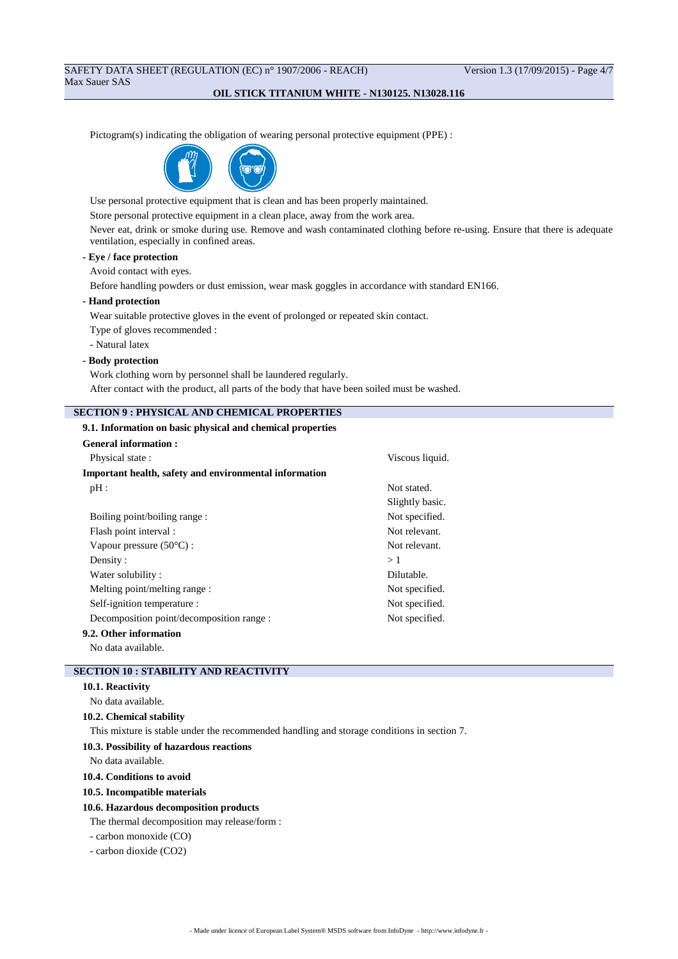# SAFETY DATA SHEET (REGULATION (EC) n° 1907/2006 - REACH) Version 1.3 (17/09/2015) - Page 4/7 Max Sauer SAS

### **OIL STICK TITANIUM WHITE - N130125. N13028.116**

Pictogram(s) indicating the obligation of wearing personal protective equipment (PPE) :



Use personal protective equipment that is clean and has been properly maintained.

Store personal protective equipment in a clean place, away from the work area.

Never eat, drink or smoke during use. Remove and wash contaminated clothing before re-using. Ensure that there is adequate ventilation, especially in confined areas.

# **- Eye / face protection**

Avoid contact with eyes.

Before handling powders or dust emission, wear mask goggles in accordance with standard EN166.

#### **- Hand protection**

Wear suitable protective gloves in the event of prolonged or repeated skin contact.

Type of gloves recommended :

- Natural latex

### **- Body protection**

Work clothing worn by personnel shall be laundered regularly.

After contact with the product, all parts of the body that have been soiled must be washed.

### **SECTION 9 : PHYSICAL AND CHEMICAL PROPERTIES**

#### **9.1. Information on basic physical and chemical properties**

| <b>General information:</b>                            |                 |  |  |
|--------------------------------------------------------|-----------------|--|--|
| Physical state:                                        | Viscous liquid. |  |  |
| Important health, safety and environmental information |                 |  |  |
| $pH$ :                                                 | Not stated.     |  |  |
|                                                        | Slightly basic. |  |  |
| Boiling point/boiling range:                           | Not specified.  |  |  |
| Flash point interval :                                 | Not relevant.   |  |  |
| Vapour pressure $(50^{\circ}C)$ :                      | Not relevant.   |  |  |
| Density:                                               | >1              |  |  |
| Water solubility:                                      | Dilutable.      |  |  |
| Melting point/melting range :                          | Not specified.  |  |  |
| Self-ignition temperature :                            | Not specified.  |  |  |
| Decomposition point/decomposition range :              | Not specified.  |  |  |
| 9.2. Other information                                 |                 |  |  |
|                                                        |                 |  |  |

No data available.

# **SECTION 10 : STABILITY AND REACTIVITY**

# **10.1. Reactivity**

No data available.

# **10.2. Chemical stability**

This mixture is stable under the recommended handling and storage conditions in section 7.

#### **10.3. Possibility of hazardous reactions**

No data available.

### **10.4. Conditions to avoid**

#### **10.5. Incompatible materials**

#### **10.6. Hazardous decomposition products**

The thermal decomposition may release/form :

- carbon monoxide (CO)
- carbon dioxide (CO2)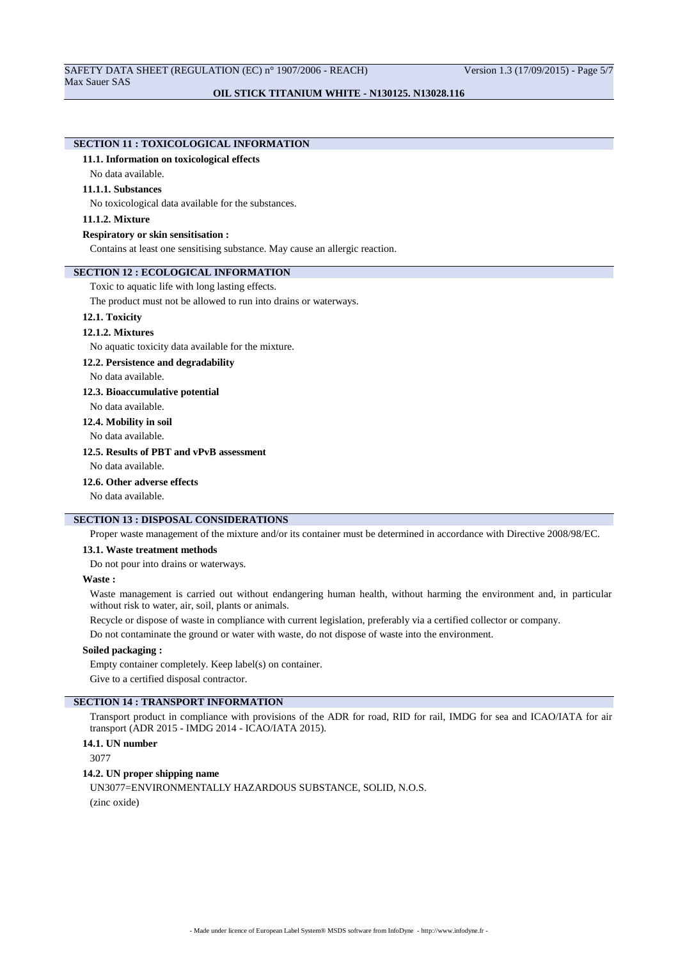# **SECTION 11 : TOXICOLOGICAL INFORMATION**

### **11.1. Information on toxicological effects**

No data available.

### **11.1.1. Substances**

No toxicological data available for the substances.

### **11.1.2. Mixture**

#### **Respiratory or skin sensitisation :**

Contains at least one sensitising substance. May cause an allergic reaction.

# **SECTION 12 : ECOLOGICAL INFORMATION**

Toxic to aquatic life with long lasting effects.

The product must not be allowed to run into drains or waterways.

# **12.1. Toxicity**

#### **12.1.2. Mixtures**

No aquatic toxicity data available for the mixture.

#### **12.2. Persistence and degradability**

No data available.

### **12.3. Bioaccumulative potential**

No data available.

# **12.4. Mobility in soil**

No data available.

# **12.5. Results of PBT and vPvB assessment**

No data available.

# **12.6. Other adverse effects**

No data available.

# **SECTION 13 : DISPOSAL CONSIDERATIONS**

Proper waste management of the mixture and/or its container must be determined in accordance with Directive 2008/98/EC.

#### **13.1. Waste treatment methods**

Do not pour into drains or waterways.

#### **Waste :**

Waste management is carried out without endangering human health, without harming the environment and, in particular without risk to water, air, soil, plants or animals.

Recycle or dispose of waste in compliance with current legislation, preferably via a certified collector or company.

Do not contaminate the ground or water with waste, do not dispose of waste into the environment.

# **Soiled packaging :**

Empty container completely. Keep label(s) on container.

Give to a certified disposal contractor.

# **SECTION 14 : TRANSPORT INFORMATION**

Transport product in compliance with provisions of the ADR for road, RID for rail, IMDG for sea and ICAO/IATA for air transport (ADR 2015 - IMDG 2014 - ICAO/IATA 2015).

### **14.1. UN number**

3077

### **14.2. UN proper shipping name**

UN3077=ENVIRONMENTALLY HAZARDOUS SUBSTANCE, SOLID, N.O.S. (zinc oxide)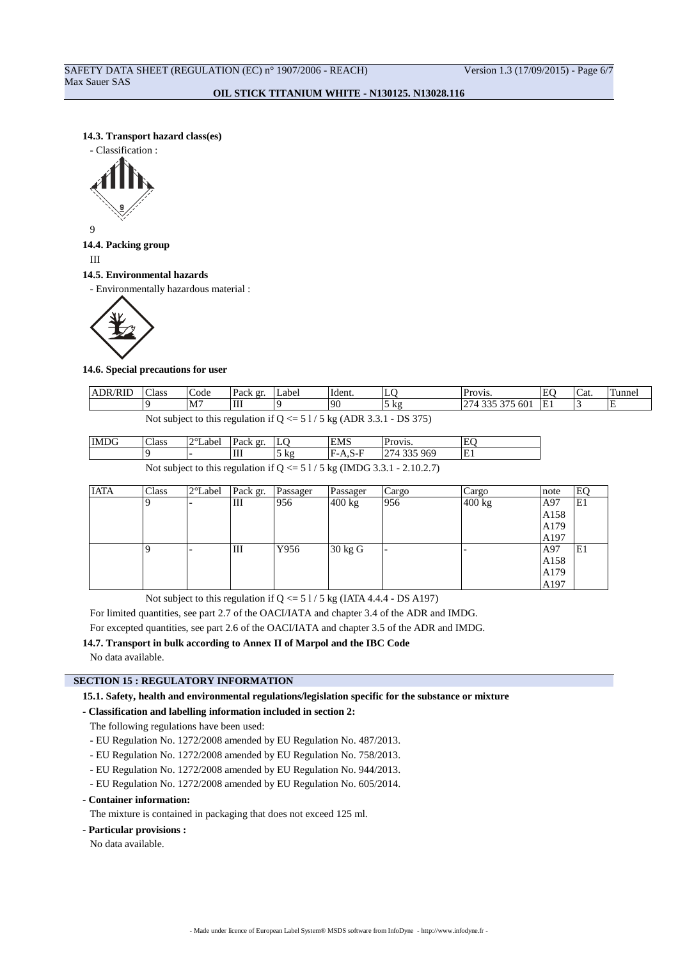### **14.3. Transport hazard class(es)**

- Classification :



9

# **14.4. Packing group**

III

#### **14.5. Environmental hazards**

- Environmentally hazardous material :



### **14.6. Special precautions for user**

| $ADR/D^T$<br>′KIL                                               | Class | $\sqrt{2}$<br>Code | Pack gr. | Label | $\mathbf{r}$ ,<br>Ident. | ∸                                      | <b>Provis.</b>                                                                    | $\mathbf{r}$ | $\sqrt{2}$<br>Cat. | funne    |
|-----------------------------------------------------------------|-------|--------------------|----------|-------|--------------------------|----------------------------------------|-----------------------------------------------------------------------------------|--------------|--------------------|----------|
|                                                                 |       | M <sub>7</sub>     | Ш        |       | ۱۵٢                      | k o<br>JΛ2<br>$\overline{\phantom{0}}$ | $\mathbf{A} = \mathbf{A}$<br>601<br>$\Delta \Delta r$<br>$\overline{\phantom{a}}$ | ∸            |                    | <u>ь</u> |
| DA<br>$\cdot$ $\sim$<br>$\lambda$ DD $\lambda$ $\lambda$ 1<br>. |       |                    |          |       |                          |                                        |                                                                                   |              |                    |          |

Not subject to this regulation if  $Q \le 51/5$  kg (ADR 3.3.1 - DS 375)

| IMDG                                                                     | Class | $2^{\circ}$ Label | Pack gr. | ιЮ             | <b>EMS</b> | Provis.     |  |  |
|--------------------------------------------------------------------------|-------|-------------------|----------|----------------|------------|-------------|--|--|
|                                                                          |       |                   | Ш        | $5 \text{ kg}$ | F-A.S-F    | 274 335 969 |  |  |
| Not subject to this regulation if $Q \leq 51/5$ kg (IMDC 2.2.1)<br>21027 |       |                   |          |                |            |             |  |  |

|  | $A \cap T$ $A$ $B$ $A$ |  |  |  |                                                                           |  |
|--|------------------------|--|--|--|---------------------------------------------------------------------------|--|
|  |                        |  |  |  | Not subject to this regulation if $Q \le 51/5$ kg (IMDG 3.3.1 - 2.10.2.7) |  |

| <b>IATA</b> | Class | 2°Label | Pack gr. | Passager | Passager | Cargo | Cargo  | note | EQ |
|-------------|-------|---------|----------|----------|----------|-------|--------|------|----|
|             |       |         | Ш        | 956      | 400 kg   | 956   | 400 kg | A97  | E1 |
|             |       |         |          |          |          |       |        | A158 |    |
|             |       |         |          |          |          |       |        | A179 |    |
|             |       |         |          |          |          |       |        | A197 |    |
|             |       |         | Ш        | Y956     | 30 kg G  |       |        | A97  | E1 |
|             |       |         |          |          |          |       |        | A158 |    |
|             |       |         |          |          |          |       |        | A179 |    |
|             |       |         |          |          |          |       |        | A197 |    |

Not subject to this regulation if  $Q \le 51/5$  kg (IATA 4.4.4 - DS A197)

For limited quantities, see part 2.7 of the OACI/IATA and chapter 3.4 of the ADR and IMDG.

For excepted quantities, see part 2.6 of the OACI/IATA and chapter 3.5 of the ADR and IMDG.

**14.7. Transport in bulk according to Annex II of Marpol and the IBC Code**

No data available.

# **SECTION 15 : REGULATORY INFORMATION**

**15.1. Safety, health and environmental regulations/legislation specific for the substance or mixture**

### **- Classification and labelling information included in section 2:**

The following regulations have been used:

- EU Regulation No. 1272/2008 amended by EU Regulation No. 487/2013.
- EU Regulation No. 1272/2008 amended by EU Regulation No. 758/2013.
- EU Regulation No. 1272/2008 amended by EU Regulation No. 944/2013.
- EU Regulation No. 1272/2008 amended by EU Regulation No. 605/2014.

### **- Container information:**

The mixture is contained in packaging that does not exceed 125 ml.

### **- Particular provisions :**

No data available.